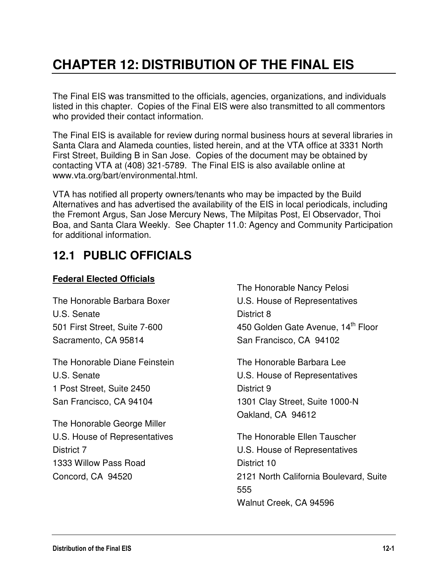# **CHAPTER 12: DISTRIBUTION OF THE FINAL EIS**

The Final EIS was transmitted to the officials, agencies, organizations, and individuals listed in this chapter. Copies of the Final EIS were also transmitted to all commentors who provided their contact information.

The Final EIS is available for review during normal business hours at several libraries in Santa Clara and Alameda counties, listed herein, and at the VTA office at 3331 North First Street, Building B in San Jose. Copies of the document may be obtained by contacting VTA at (408) 321-5789. The Final EIS is also available online at www.vta.org/bart/environmental.html.

VTA has notified all property owners/tenants who may be impacted by the Build Alternatives and has advertised the availability of the EIS in local periodicals, including the Fremont Argus, San Jose Mercury News, The Milpitas Post, El Observador, Thoi Boa, and Santa Clara Weekly. See Chapter 11.0: Agency and Community Participation for additional information.

## **12.1 PUBLIC OFFICIALS**

#### **Federal Elected Officials**

The Honorable Barbara Boxer U.S. Senate 501 First Street, Suite 7-600 Sacramento, CA 95814

The Honorable Diane Feinstein U.S. Senate 1 Post Street, Suite 2450 San Francisco, CA 94104

The Honorable George Miller U.S. House of Representatives District 7 1333 Willow Pass Road Concord, CA 94520

The Honorable Nancy Pelosi U.S. House of Representatives District 8 450 Golden Gate Avenue, 14<sup>th</sup> Floor San Francisco, CA 94102

The Honorable Barbara Lee U.S. House of Representatives District 9 1301 Clay Street, Suite 1000-N Oakland, CA 94612

The Honorable Ellen Tauscher U.S. House of Representatives District 10 2121 North California Boulevard, Suite 555 Walnut Creek, CA 94596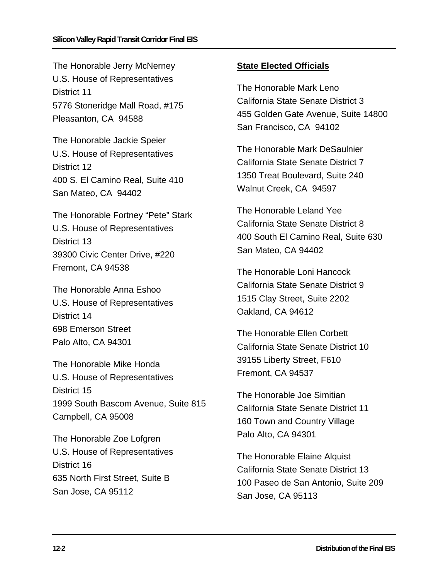The Honorable Jerry McNerney U.S. House of Representatives District 11 5776 Stoneridge Mall Road, #175 Pleasanton, CA 94588

The Honorable Jackie Speier U.S. House of Representatives District 12 400 S. El Camino Real, Suite 410 San Mateo, CA 94402

The Honorable Fortney "Pete" Stark U.S. House of Representatives District 13 39300 Civic Center Drive, #220 Fremont, CA 94538

The Honorable Anna Eshoo U.S. House of Representatives District 14 698 Emerson Street Palo Alto, CA 94301

The Honorable Mike Honda U.S. House of Representatives District 15 1999 South Bascom Avenue, Suite 815 Campbell, CA 95008

The Honorable Zoe Lofgren U.S. House of Representatives District 16 635 North First Street, Suite B San Jose, CA 95112

## **State Elected Officials**

The Honorable Mark Leno California State Senate District 3 455 Golden Gate Avenue, Suite 14800 San Francisco, CA 94102

The Honorable Mark DeSaulnier California State Senate District 7 1350 Treat Boulevard, Suite 240 Walnut Creek, CA 94597

The Honorable Leland Yee California State Senate District 8 400 South El Camino Real, Suite 630 San Mateo, CA 94402

The Honorable Loni Hancock California State Senate District 9 1515 Clay Street, Suite 2202 Oakland, CA 94612

The Honorable Ellen Corbett California State Senate District 10 39155 Liberty Street, F610 Fremont, CA 94537

The Honorable Joe Simitian California State Senate District 11 160 Town and Country Village Palo Alto, CA 94301

The Honorable Elaine Alquist California State Senate District 13 100 Paseo de San Antonio, Suite 209 San Jose, CA 95113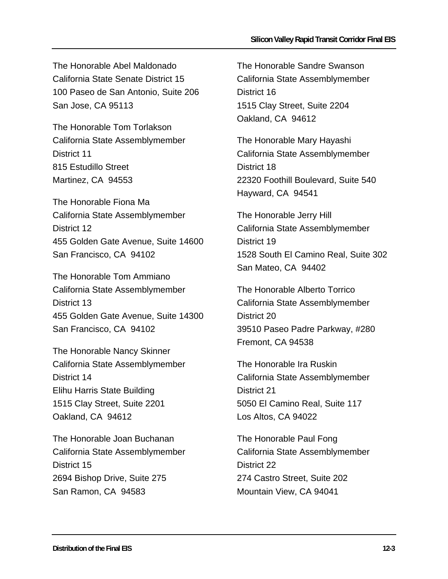The Honorable Abel Maldonado California State Senate District 15 100 Paseo de San Antonio, Suite 206 San Jose, CA 95113

The Honorable Tom Torlakson California State Assemblymember District 11 815 Estudillo Street Martinez, CA 94553

The Honorable Fiona Ma California State Assemblymember District 12 455 Golden Gate Avenue, Suite 14600 San Francisco, CA 94102

The Honorable Tom Ammiano California State Assemblymember District 13 455 Golden Gate Avenue, Suite 14300 San Francisco, CA 94102

The Honorable Nancy Skinner California State Assemblymember District 14 Elihu Harris State Building 1515 Clay Street, Suite 2201 Oakland, CA 94612

The Honorable Joan Buchanan California State Assemblymember District 15 2694 Bishop Drive, Suite 275 San Ramon, CA 94583

The Honorable Sandre Swanson California State Assemblymember District 16 1515 Clay Street, Suite 2204 Oakland, CA 94612

The Honorable Mary Hayashi California State Assemblymember District 18 22320 Foothill Boulevard, Suite 540 Hayward, CA 94541

The Honorable Jerry Hill California State Assemblymember District 19 1528 South El Camino Real, Suite 302 San Mateo, CA 94402

The Honorable Alberto Torrico California State Assemblymember District 20 39510 Paseo Padre Parkway, #280 Fremont, CA 94538

The Honorable Ira Ruskin California State Assemblymember District 21 5050 El Camino Real, Suite 117 Los Altos, CA 94022

The Honorable Paul Fong California State Assemblymember District 22 274 Castro Street, Suite 202 Mountain View, CA 94041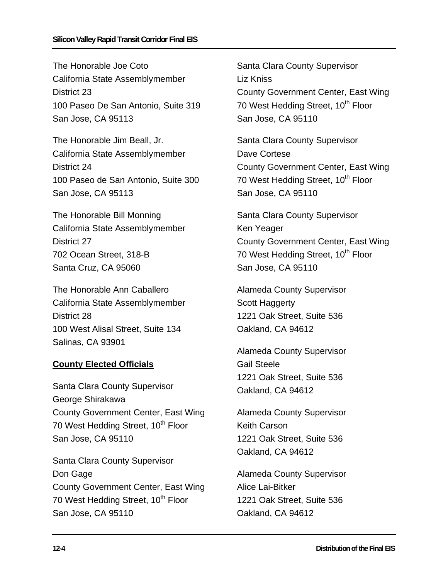The Honorable Joe Coto California State Assemblymember District 23 100 Paseo De San Antonio, Suite 319 San Jose, CA 95113

The Honorable Jim Beall, Jr. California State Assemblymember District 24 100 Paseo de San Antonio, Suite 300 San Jose, CA 95113

The Honorable Bill Monning California State Assemblymember District 27 702 Ocean Street, 318-B Santa Cruz, CA 95060

The Honorable Ann Caballero California State Assemblymember District 28 100 West Alisal Street, Suite 134 Salinas, CA 93901

### **County Elected Officials**

Santa Clara County Supervisor George Shirakawa County Government Center, East Wing 70 West Hedding Street, 10<sup>th</sup> Floor San Jose, CA 95110

Santa Clara County Supervisor Don Gage County Government Center, East Wing 70 West Hedding Street, 10<sup>th</sup> Floor San Jose, CA 95110

Santa Clara County Supervisor Liz Kniss County Government Center, East Wing 70 West Hedding Street, 10<sup>th</sup> Floor San Jose, CA 95110

Santa Clara County Supervisor Dave Cortese County Government Center, East Wing 70 West Hedding Street, 10<sup>th</sup> Floor San Jose, CA 95110

Santa Clara County Supervisor Ken Yeager County Government Center, East Wing 70 West Hedding Street, 10<sup>th</sup> Floor San Jose, CA 95110

Alameda County Supervisor Scott Haggerty 1221 Oak Street, Suite 536 Oakland, CA 94612

Alameda County Supervisor Gail Steele 1221 Oak Street, Suite 536 Oakland, CA 94612

Alameda County Supervisor Keith Carson 1221 Oak Street, Suite 536 Oakland, CA 94612

Alameda County Supervisor Alice Lai-Bitker 1221 Oak Street, Suite 536 Oakland, CA 94612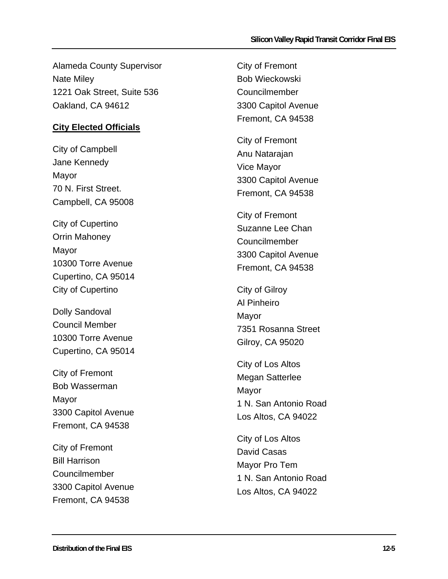Alameda County Supervisor Nate Miley 1221 Oak Street, Suite 536 Oakland, CA 94612

## **City Elected Officials**

City of Campbell Jane Kennedy Mayor 70 N. First Street. Campbell, CA 95008

City of Cupertino Orrin Mahoney Mayor 10300 Torre Avenue Cupertino, CA 95014 City of Cupertino

Dolly Sandoval Council Member 10300 Torre Avenue Cupertino, CA 95014

City of Fremont Bob Wasserman Mayor 3300 Capitol Avenue Fremont, CA 94538

City of Fremont Bill Harrison Councilmember 3300 Capitol Avenue Fremont, CA 94538

City of Fremont Bob Wieckowski Councilmember 3300 Capitol Avenue Fremont, CA 94538

City of Fremont Anu Natarajan Vice Mayor 3300 Capitol Avenue Fremont, CA 94538

City of Fremont Suzanne Lee Chan **Councilmember** 3300 Capitol Avenue Fremont, CA 94538

City of Gilroy Al Pinheiro Mayor 7351 Rosanna Street Gilroy, CA 95020

City of Los Altos Megan Satterlee Mayor 1 N. San Antonio Road Los Altos, CA 94022

City of Los Altos David Casas Mayor Pro Tem 1 N. San Antonio Road Los Altos, CA 94022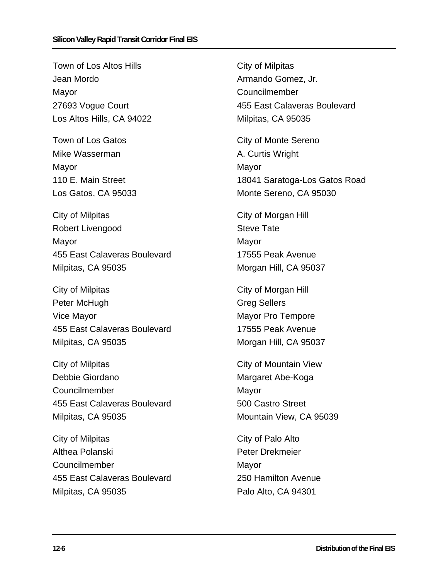Town of Los Altos Hills Jean Mordo Mayor 27693 Vogue Court Los Altos Hills, CA 94022

Town of Los Gatos Mike Wasserman Mayor 110 E. Main Street Los Gatos, CA 95033

City of Milpitas Robert Livengood Mayor 455 East Calaveras Boulevard Milpitas, CA 95035

City of Milpitas Peter McHugh Vice Mayor 455 East Calaveras Boulevard Milpitas, CA 95035

City of Milpitas Debbie Giordano Councilmember 455 East Calaveras Boulevard Milpitas, CA 95035

City of Milpitas Althea Polanski Councilmember 455 East Calaveras Boulevard Milpitas, CA 95035

City of Milpitas Armando Gomez, Jr. Councilmember 455 East Calaveras Boulevard Milpitas, CA 95035

City of Monte Sereno A. Curtis Wright Mayor 18041 Saratoga-Los Gatos Road Monte Sereno, CA 95030

City of Morgan Hill Steve Tate Mayor 17555 Peak Avenue Morgan Hill, CA 95037

City of Morgan Hill Greg Sellers Mayor Pro Tempore 17555 Peak Avenue Morgan Hill, CA 95037

City of Mountain View Margaret Abe-Koga Mayor 500 Castro Street Mountain View, CA 95039

City of Palo Alto Peter Drekmeier Mayor 250 Hamilton Avenue Palo Alto, CA 94301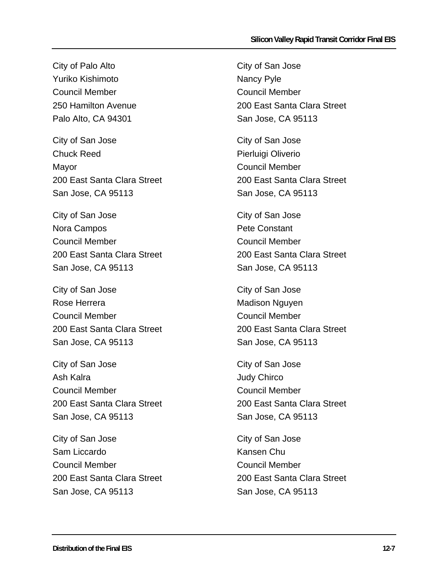City of Palo Alto Yuriko Kishimoto Council Member 250 Hamilton Avenue Palo Alto, CA 94301

City of San Jose Chuck Reed Mayor 200 East Santa Clara Street San Jose, CA 95113

City of San Jose Nora Campos Council Member 200 East Santa Clara Street San Jose, CA 95113

City of San Jose Rose Herrera Council Member 200 East Santa Clara Street San Jose, CA 95113

City of San Jose Ash Kalra Council Member 200 East Santa Clara Street San Jose, CA 95113

City of San Jose Sam Liccardo Council Member 200 East Santa Clara Street San Jose, CA 95113

City of San Jose Nancy Pyle Council Member 200 East Santa Clara Street San Jose, CA 95113

City of San Jose Pierluigi Oliverio Council Member 200 East Santa Clara Street San Jose, CA 95113

City of San Jose Pete Constant Council Member 200 East Santa Clara Street San Jose, CA 95113

City of San Jose Madison Nguyen Council Member 200 East Santa Clara Street San Jose, CA 95113

City of San Jose Judy Chirco Council Member 200 East Santa Clara Street San Jose, CA 95113

City of San Jose Kansen Chu Council Member 200 East Santa Clara Street San Jose, CA 95113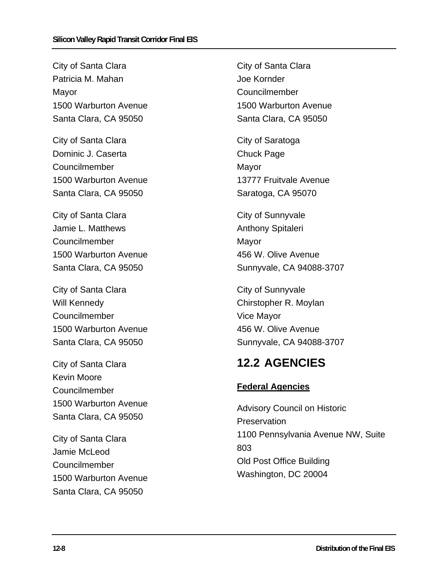City of Santa Clara Patricia M. Mahan Mayor 1500 Warburton Avenue Santa Clara, CA 95050

City of Santa Clara Dominic J. Caserta Councilmember 1500 Warburton Avenue Santa Clara, CA 95050

City of Santa Clara Jamie L. Matthews Councilmember 1500 Warburton Avenue Santa Clara, CA 95050

City of Santa Clara Will Kennedy Councilmember 1500 Warburton Avenue Santa Clara, CA 95050

City of Santa Clara Kevin Moore Councilmember 1500 Warburton Avenue Santa Clara, CA 95050

City of Santa Clara Jamie McLeod Councilmember 1500 Warburton Avenue Santa Clara, CA 95050

City of Santa Clara Joe Kornder Councilmember 1500 Warburton Avenue Santa Clara, CA 95050

City of Saratoga Chuck Page Mayor 13777 Fruitvale Avenue Saratoga, CA 95070

City of Sunnyvale Anthony Spitaleri Mayor 456 W. Olive Avenue Sunnyvale, CA 94088-3707

City of Sunnyvale Chirstopher R. Moylan Vice Mayor 456 W. Olive Avenue Sunnyvale, CA 94088-3707

## **12.2 AGENCIES**

## **Federal Agencies**

Advisory Council on Historic **Preservation** 1100 Pennsylvania Avenue NW, Suite 803 Old Post Office Building Washington, DC 20004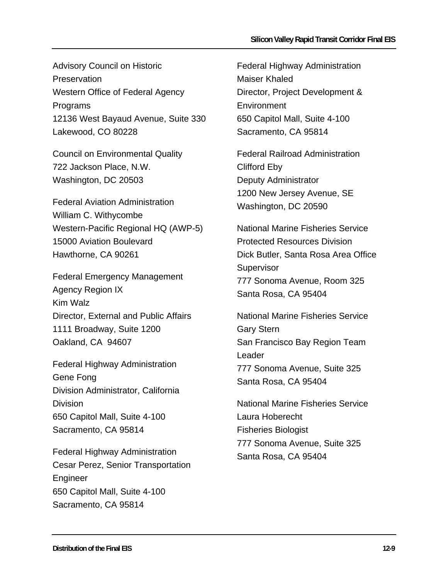Advisory Council on Historic **Preservation** Western Office of Federal Agency Programs 12136 West Bayaud Avenue, Suite 330 Lakewood, CO 80228

Council on Environmental Quality 722 Jackson Place, N.W. Washington, DC 20503

Federal Aviation Administration William C. Withycombe Western-Pacific Regional HQ (AWP-5) 15000 Aviation Boulevard Hawthorne, CA 90261

Federal Emergency Management Agency Region IX Kim Walz Director, External and Public Affairs 1111 Broadway, Suite 1200 Oakland, CA 94607

Federal Highway Administration Gene Fong Division Administrator, California **Division** 650 Capitol Mall, Suite 4-100 Sacramento, CA 95814

Federal Highway Administration Cesar Perez, Senior Transportation Engineer 650 Capitol Mall, Suite 4-100 Sacramento, CA 95814

Federal Highway Administration Maiser Khaled Director, Project Development & **Environment** 650 Capitol Mall, Suite 4-100 Sacramento, CA 95814

Federal Railroad Administration Clifford Eby Deputy Administrator 1200 New Jersey Avenue, SE Washington, DC 20590

National Marine Fisheries Service Protected Resources Division Dick Butler, Santa Rosa Area Office **Supervisor** 777 Sonoma Avenue, Room 325 Santa Rosa, CA 95404

National Marine Fisheries Service Gary Stern San Francisco Bay Region Team **Leader** 777 Sonoma Avenue, Suite 325 Santa Rosa, CA 95404

National Marine Fisheries Service Laura Hoberecht Fisheries Biologist 777 Sonoma Avenue, Suite 325 Santa Rosa, CA 95404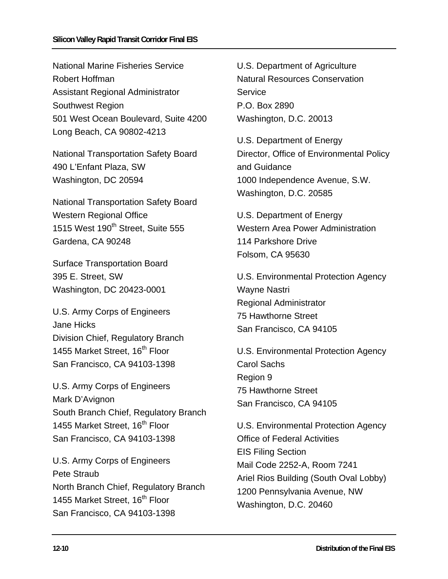National Marine Fisheries Service Robert Hoffman Assistant Regional Administrator Southwest Region 501 West Ocean Boulevard, Suite 4200 Long Beach, CA 90802-4213

National Transportation Safety Board 490 L'Enfant Plaza, SW Washington, DC 20594

National Transportation Safety Board Western Regional Office 1515 West 190<sup>th</sup> Street, Suite 555 Gardena, CA 90248

Surface Transportation Board 395 E. Street, SW Washington, DC 20423-0001

U.S. Army Corps of Engineers Jane Hicks Division Chief, Regulatory Branch 1455 Market Street, 16<sup>th</sup> Floor San Francisco, CA 94103-1398

U.S. Army Corps of Engineers Mark D'Avignon South Branch Chief, Regulatory Branch 1455 Market Street, 16<sup>th</sup> Floor San Francisco, CA 94103-1398

U.S. Army Corps of Engineers Pete Straub North Branch Chief, Regulatory Branch 1455 Market Street, 16<sup>th</sup> Floor San Francisco, CA 94103-1398

U.S. Department of Agriculture Natural Resources Conservation **Service** P.O. Box 2890 Washington, D.C. 20013

U.S. Department of Energy Director, Office of Environmental Policy and Guidance 1000 Independence Avenue, S.W. Washington, D.C. 20585

U.S. Department of Energy Western Area Power Administration 114 Parkshore Drive Folsom, CA 95630

U.S. Environmental Protection Agency Wayne Nastri Regional Administrator 75 Hawthorne Street San Francisco, CA 94105

U.S. Environmental Protection Agency Carol Sachs Region 9 75 Hawthorne Street San Francisco, CA 94105

U.S. Environmental Protection Agency Office of Federal Activities EIS Filing Section Mail Code 2252-A, Room 7241 Ariel Rios Building (South Oval Lobby) 1200 Pennsylvania Avenue, NW Washington, D.C. 20460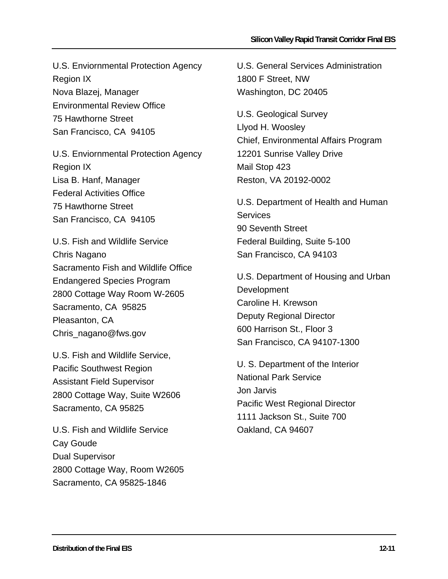U.S. Enviornmental Protection Agency Region IX Nova Blazej, Manager Environmental Review Office 75 Hawthorne Street San Francisco, CA 94105

U.S. Enviornmental Protection Agency Region IX Lisa B. Hanf, Manager Federal Activities Office 75 Hawthorne Street San Francisco, CA 94105

U.S. Fish and Wildlife Service Chris Nagano Sacramento Fish and Wildlife Office Endangered Species Program 2800 Cottage Way Room W-2605 Sacramento, CA 95825 Pleasanton, CA Chris\_nagano@fws.gov

U.S. Fish and Wildlife Service, Pacific Southwest Region Assistant Field Supervisor 2800 Cottage Way, Suite W2606 Sacramento, CA 95825

U.S. Fish and Wildlife Service Cay Goude Dual Supervisor 2800 Cottage Way, Room W2605 Sacramento, CA 95825-1846

U.S. General Services Administration 1800 F Street, NW Washington, DC 20405

U.S. Geological Survey Llyod H. Woosley Chief, Environmental Affairs Program 12201 Sunrise Valley Drive Mail Stop 423 Reston, VA 20192-0002

U.S. Department of Health and Human **Services** 90 Seventh Street Federal Building, Suite 5-100 San Francisco, CA 94103

U.S. Department of Housing and Urban **Development** Caroline H. Krewson Deputy Regional Director 600 Harrison St., Floor 3 San Francisco, CA 94107-1300

U. S. Department of the Interior National Park Service Jon Jarvis Pacific West Regional Director 1111 Jackson St., Suite 700 Oakland, CA 94607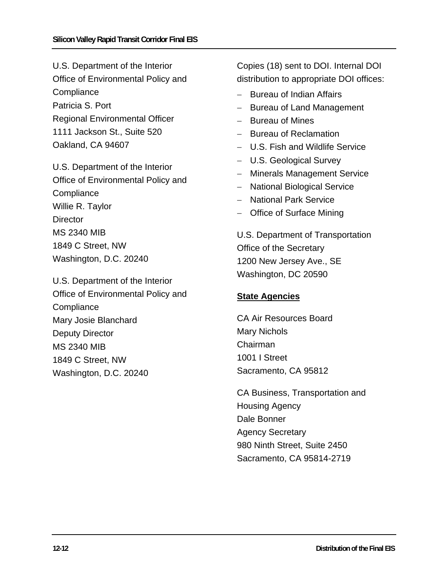U.S. Department of the Interior Office of Environmental Policy and **Compliance** Patricia S. Port Regional Environmental Officer 1111 Jackson St., Suite 520 Oakland, CA 94607

U.S. Department of the Interior Office of Environmental Policy and **Compliance** Willie R. Taylor **Director** MS 2340 MIB 1849 C Street, NW Washington, D.C. 20240

U.S. Department of the Interior Office of Environmental Policy and **Compliance** Mary Josie Blanchard Deputy Director MS 2340 MIB 1849 C Street, NW Washington, D.C. 20240

Copies (18) sent to DOI. Internal DOI distribution to appropriate DOI offices:

- − Bureau of Indian Affairs
- − Bureau of Land Management
- − Bureau of Mines
- − Bureau of Reclamation
- − U.S. Fish and Wildlife Service
- − U.S. Geological Survey
- − Minerals Management Service
- − National Biological Service
- − National Park Service
- − Office of Surface Mining

U.S. Department of Transportation Office of the Secretary 1200 New Jersey Ave., SE Washington, DC 20590

### **State Agencies**

CA Air Resources Board Mary Nichols Chairman 1001 I Street Sacramento, CA 95812

CA Business, Transportation and Housing Agency Dale Bonner Agency Secretary 980 Ninth Street, Suite 2450 Sacramento, CA 95814-2719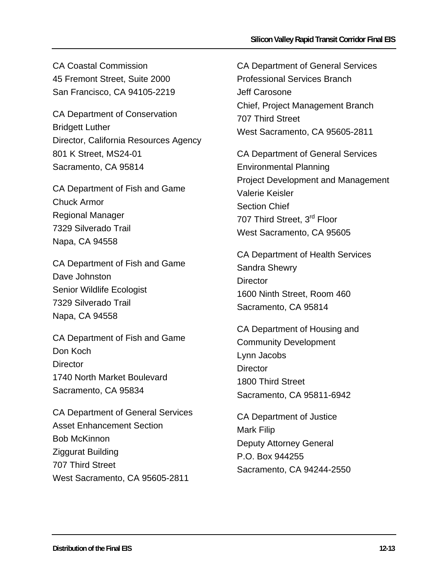CA Coastal Commission 45 Fremont Street, Suite 2000 San Francisco, CA 94105-2219

CA Department of Conservation Bridgett Luther Director, California Resources Agency 801 K Street, MS24-01 Sacramento, CA 95814

CA Department of Fish and Game Chuck Armor Regional Manager 7329 Silverado Trail Napa, CA 94558

CA Department of Fish and Game Dave Johnston Senior Wildlife Ecologist 7329 Silverado Trail Napa, CA 94558

CA Department of Fish and Game Don Koch **Director** 1740 North Market Boulevard Sacramento, CA 95834

CA Department of General Services Asset Enhancement Section Bob McKinnon Ziggurat Building 707 Third Street West Sacramento, CA 95605-2811

CA Department of General Services Professional Services Branch Jeff Carosone Chief, Project Management Branch 707 Third Street West Sacramento, CA 95605-2811

CA Department of General Services Environmental Planning Project Development and Management Valerie Keisler Section Chief 707 Third Street, 3<sup>rd</sup> Floor West Sacramento, CA 95605

CA Department of Health Services Sandra Shewry **Director** 1600 Ninth Street, Room 460 Sacramento, CA 95814

CA Department of Housing and Community Development Lynn Jacobs **Director** 1800 Third Street Sacramento, CA 95811-6942

CA Department of Justice Mark Filip Deputy Attorney General P.O. Box 944255 Sacramento, CA 94244-2550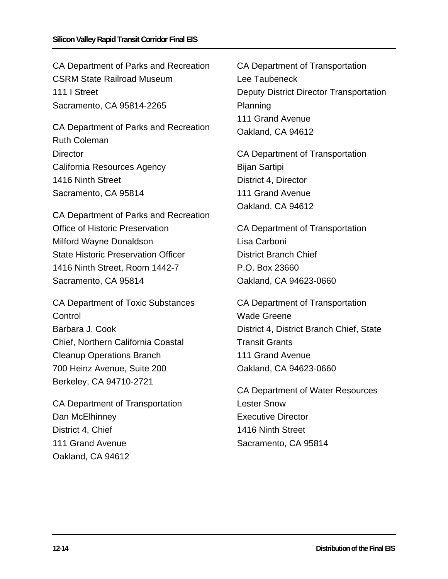CA Department of Parks and Recreation CSRM State Railroad Museum 111 I Street Sacramento, CA 95814-2265

CA Department of Parks and Recreation Ruth Coleman **Director** California Resources Agency 1416 Ninth Street Sacramento, CA 95814

CA Department of Parks and Recreation Office of Historic Preservation Milford Wayne Donaldson State Historic Preservation Officer 1416 Ninth Street, Room 1442-7 Sacramento, CA 95814

CA Department of Toxic Substances **Control** Barbara J. Cook Chief, Northern California Coastal Cleanup Operations Branch 700 Heinz Avenue, Suite 200 Berkeley, CA 94710-2721

CA Department of Transportation Dan McElhinney District 4, Chief 111 Grand Avenue Oakland, CA 94612

CA Department of Transportation Lee Taubeneck Deputy District Director Transportation Planning 111 Grand Avenue Oakland, CA 94612

CA Department of Transportation Bijan Sartipi District 4, Director 111 Grand Avenue Oakland, CA 94612

CA Department of Transportation Lisa Carboni District Branch Chief P.O. Box 23660 Oakland, CA 94623-0660

CA Department of Transportation Wade Greene District 4, District Branch Chief, State Transit Grants 111 Grand Avenue Oakland, CA 94623-0660

CA Department of Water Resources Lester Snow Executive Director 1416 Ninth Street Sacramento, CA 95814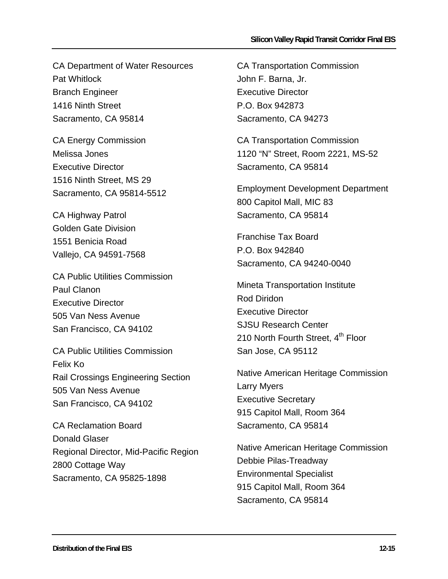CA Department of Water Resources Pat Whitlock Branch Engineer 1416 Ninth Street Sacramento, CA 95814

CA Energy Commission Melissa Jones Executive Director 1516 Ninth Street, MS 29 Sacramento, CA 95814-5512

CA Highway Patrol Golden Gate Division 1551 Benicia Road Vallejo, CA 94591-7568

CA Public Utilities Commission Paul Clanon Executive Director 505 Van Ness Avenue San Francisco, CA 94102

CA Public Utilities Commission Felix Ko Rail Crossings Engineering Section 505 Van Ness Avenue San Francisco, CA 94102

CA Reclamation Board Donald Glaser Regional Director, Mid-Pacific Region 2800 Cottage Way Sacramento, CA 95825-1898

CA Transportation Commission John F. Barna, Jr. Executive Director P.O. Box 942873 Sacramento, CA 94273

CA Transportation Commission 1120 "N" Street, Room 2221, MS-52 Sacramento, CA 95814

Employment Development Department 800 Capitol Mall, MIC 83 Sacramento, CA 95814

Franchise Tax Board P.O. Box 942840 Sacramento, CA 94240-0040

Mineta Transportation Institute Rod Diridon Executive Director SJSU Research Center 210 North Fourth Street, 4<sup>th</sup> Floor San Jose, CA 95112

Native American Heritage Commission Larry Myers Executive Secretary 915 Capitol Mall, Room 364 Sacramento, CA 95814

Native American Heritage Commission Debbie Pilas-Treadway Environmental Specialist 915 Capitol Mall, Room 364 Sacramento, CA 95814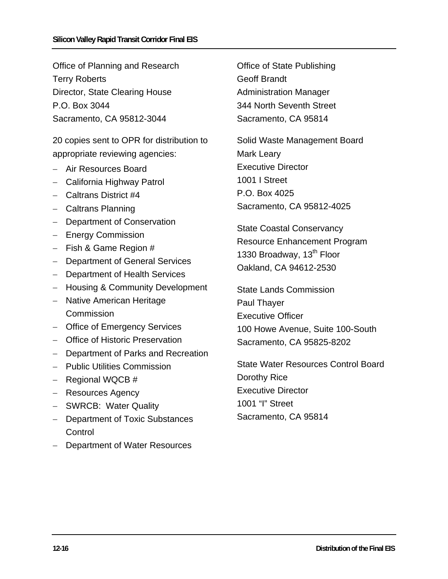Office of Planning and Research Terry Roberts Director, State Clearing House P.O. Box 3044 Sacramento, CA 95812-3044

20 copies sent to OPR for distribution to appropriate reviewing agencies:

- − Air Resources Board
- − California Highway Patrol
- − Caltrans District #4
- − Caltrans Planning
- − Department of Conservation
- − Energy Commission
- − Fish & Game Region #
- − Department of General Services
- − Department of Health Services
- − Housing & Community Development
- − Native American Heritage Commission
- − Office of Emergency Services
- − Office of Historic Preservation
- − Department of Parks and Recreation
- − Public Utilities Commission
- − Regional WQCB #
- − Resources Agency
- − SWRCB: Water Quality
- − Department of Toxic Substances **Control**
- − Department of Water Resources

Office of State Publishing Geoff Brandt Administration Manager 344 North Seventh Street Sacramento, CA 95814

Solid Waste Management Board Mark Leary Executive Director 1001 I Street P.O. Box 4025 Sacramento, CA 95812-4025

State Coastal Conservancy Resource Enhancement Program 1330 Broadway, 13<sup>th</sup> Floor Oakland, CA 94612-2530

State Lands Commission Paul Thayer Executive Officer 100 Howe Avenue, Suite 100-South Sacramento, CA 95825-8202

State Water Resources Control Board Dorothy Rice Executive Director 1001 "I" Street Sacramento, CA 95814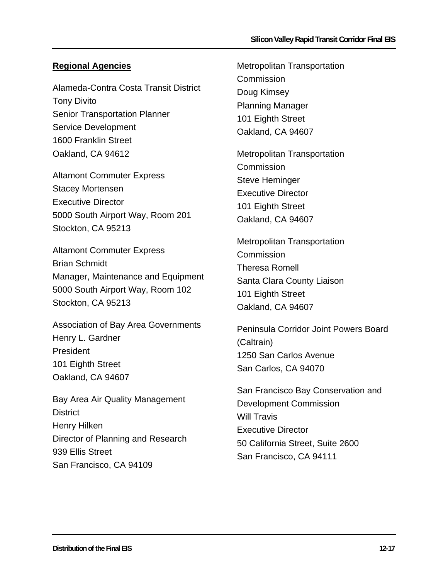## **Regional Agencies**

Alameda-Contra Costa Transit District Tony Divito Senior Transportation Planner Service Development 1600 Franklin Street Oakland, CA 94612

Altamont Commuter Express Stacey Mortensen Executive Director 5000 South Airport Way, Room 201 Stockton, CA 95213

Altamont Commuter Express Brian Schmidt Manager, Maintenance and Equipment 5000 South Airport Way, Room 102 Stockton, CA 95213

Association of Bay Area Governments Henry L. Gardner President 101 Eighth Street Oakland, CA 94607

Bay Area Air Quality Management **District** Henry Hilken Director of Planning and Research 939 Ellis Street San Francisco, CA 94109

Metropolitan Transportation **Commission** Doug Kimsey Planning Manager 101 Eighth Street Oakland, CA 94607

Metropolitan Transportation **Commission** Steve Heminger Executive Director 101 Eighth Street Oakland, CA 94607

Metropolitan Transportation **Commission** Theresa Romell Santa Clara County Liaison 101 Eighth Street Oakland, CA 94607

Peninsula Corridor Joint Powers Board (Caltrain) 1250 San Carlos Avenue San Carlos, CA 94070

San Francisco Bay Conservation and Development Commission Will Travis Executive Director 50 California Street, Suite 2600 San Francisco, CA 94111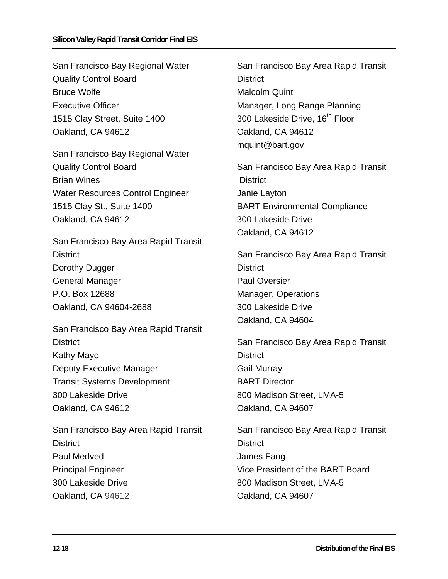San Francisco Bay Regional Water Quality Control Board Bruce Wolfe Executive Officer 1515 Clay Street, Suite 1400 Oakland, CA 94612

San Francisco Bay Regional Water Quality Control Board Brian Wines Water Resources Control Engineer 1515 Clay St., Suite 1400 Oakland, CA 94612

San Francisco Bay Area Rapid Transit **District** Dorothy Dugger General Manager P.O. Box 12688 Oakland, CA 94604-2688

San Francisco Bay Area Rapid Transit **District** Kathy Mayo Deputy Executive Manager Transit Systems Development 300 Lakeside Drive Oakland, CA 94612

San Francisco Bay Area Rapid Transit **District** Paul Medved Principal Engineer 300 Lakeside Drive Oakland, CA 94612

San Francisco Bay Area Rapid Transit **District** Malcolm Quint Manager, Long Range Planning 300 Lakeside Drive, 16<sup>th</sup> Floor Oakland, CA 94612 mquint@bart.gov

San Francisco Bay Area Rapid Transit **District** Janie Layton BART Environmental Compliance 300 Lakeside Drive Oakland, CA 94612

San Francisco Bay Area Rapid Transit **District** Paul Oversier Manager, Operations 300 Lakeside Drive Oakland, CA 94604

San Francisco Bay Area Rapid Transit **District** Gail Murray BART Director 800 Madison Street, LMA-5 Oakland, CA 94607

San Francisco Bay Area Rapid Transit **District** James Fang Vice President of the BART Board 800 Madison Street, LMA-5 Oakland, CA 94607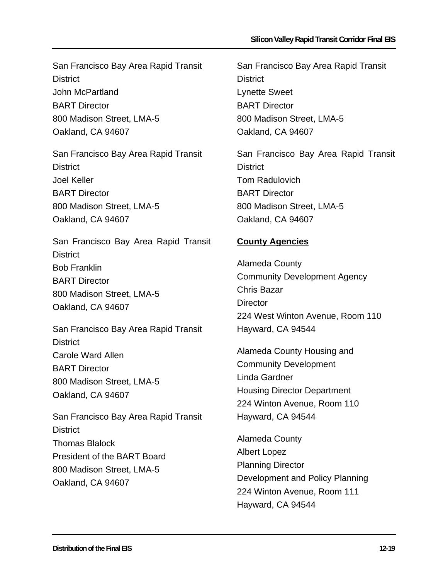San Francisco Bay Area Rapid Transit **District** John McPartland BART Director 800 Madison Street, LMA-5 Oakland, CA 94607

San Francisco Bay Area Rapid Transit **District** Joel Keller BART Director 800 Madison Street, LMA-5 Oakland, CA 94607

San Francisco Bay Area Rapid Transit **District** Bob Franklin BART Director 800 Madison Street, LMA-5 Oakland, CA 94607

San Francisco Bay Area Rapid Transit **District** Carole Ward Allen BART Director 800 Madison Street, LMA-5 Oakland, CA 94607

San Francisco Bay Area Rapid Transit **District** Thomas Blalock President of the BART Board 800 Madison Street, LMA-5 Oakland, CA 94607

San Francisco Bay Area Rapid Transit **District** Lynette Sweet BART Director 800 Madison Street, LMA-5 Oakland, CA 94607

San Francisco Bay Area Rapid Transit **District** Tom Radulovich BART Director 800 Madison Street, LMA-5 Oakland, CA 94607

## **County Agencies**

Alameda County Community Development Agency Chris Bazar **Director** 224 West Winton Avenue, Room 110 Hayward, CA 94544

Alameda County Housing and Community Development Linda Gardner Housing Director Department 224 Winton Avenue, Room 110 Hayward, CA 94544

Alameda County Albert Lopez Planning Director Development and Policy Planning 224 Winton Avenue, Room 111 Hayward, CA 94544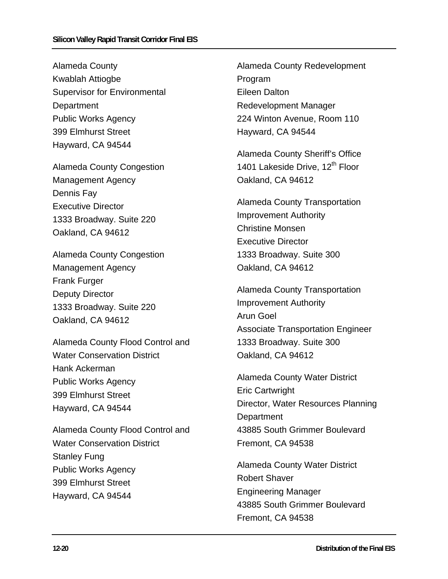Alameda County Kwablah Attiogbe Supervisor for Environmental **Department** Public Works Agency 399 Elmhurst Street Hayward, CA 94544

Alameda County Congestion Management Agency Dennis Fay Executive Director 1333 Broadway. Suite 220 Oakland, CA 94612

Alameda County Congestion Management Agency Frank Furger Deputy Director 1333 Broadway. Suite 220 Oakland, CA 94612

Alameda County Flood Control and Water Conservation District Hank Ackerman Public Works Agency 399 Elmhurst Street Hayward, CA 94544

Alameda County Flood Control and Water Conservation District Stanley Fung Public Works Agency 399 Elmhurst Street Hayward, CA 94544

Alameda County Redevelopment Program Eileen Dalton Redevelopment Manager 224 Winton Avenue, Room 110 Hayward, CA 94544

Alameda County Sheriff's Office 1401 Lakeside Drive, 12<sup>th</sup> Floor Oakland, CA 94612

Alameda County Transportation Improvement Authority Christine Monsen Executive Director 1333 Broadway. Suite 300 Oakland, CA 94612

Alameda County Transportation Improvement Authority Arun Goel Associate Transportation Engineer 1333 Broadway. Suite 300 Oakland, CA 94612

Alameda County Water District Eric Cartwright Director, Water Resources Planning **Department** 43885 South Grimmer Boulevard Fremont, CA 94538

Alameda County Water District Robert Shaver Engineering Manager 43885 South Grimmer Boulevard Fremont, CA 94538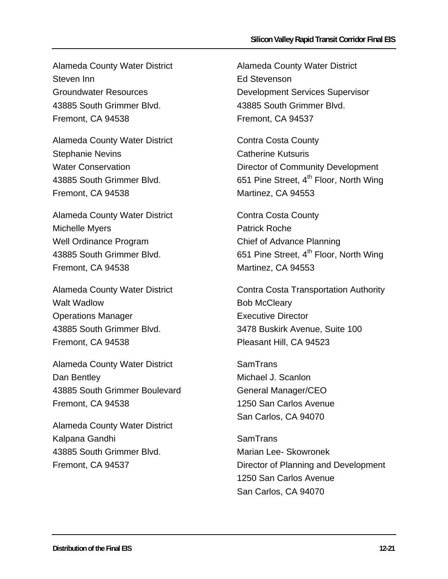Alameda County Water District Steven Inn Groundwater Resources 43885 South Grimmer Blvd. Fremont, CA 94538

Alameda County Water District Stephanie Nevins Water Conservation 43885 South Grimmer Blvd. Fremont, CA 94538

Alameda County Water District Michelle Myers Well Ordinance Program 43885 South Grimmer Blvd. Fremont, CA 94538

Alameda County Water District Walt Wadlow Operations Manager 43885 South Grimmer Blvd. Fremont, CA 94538

Alameda County Water District Dan Bentley 43885 South Grimmer Boulevard Fremont, CA 94538

Alameda County Water District Kalpana Gandhi 43885 South Grimmer Blvd. Fremont, CA 94537

Alameda County Water District Ed Stevenson Development Services Supervisor 43885 South Grimmer Blvd. Fremont, CA 94537

Contra Costa County Catherine Kutsuris Director of Community Development 651 Pine Street, 4<sup>th</sup> Floor, North Wing Martinez, CA 94553

Contra Costa County Patrick Roche Chief of Advance Planning 651 Pine Street, 4<sup>th</sup> Floor, North Wing Martinez, CA 94553

Contra Costa Transportation Authority Bob McCleary Executive Director 3478 Buskirk Avenue, Suite 100 Pleasant Hill, CA 94523

SamTrans Michael J. Scanlon General Manager/CEO 1250 San Carlos Avenue San Carlos, CA 94070

SamTrans Marian Lee- Skowronek Director of Planning and Development 1250 San Carlos Avenue San Carlos, CA 94070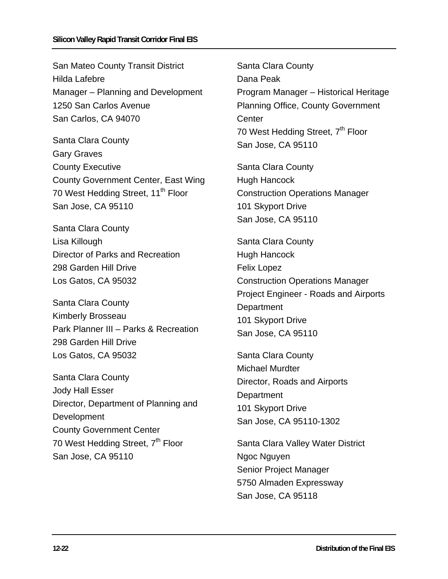San Mateo County Transit District Hilda Lafebre Manager – Planning and Development 1250 San Carlos Avenue San Carlos, CA 94070

Santa Clara County Gary Graves County Executive County Government Center, East Wing 70 West Hedding Street, 11<sup>th</sup> Floor San Jose, CA 95110

Santa Clara County Lisa Killough Director of Parks and Recreation 298 Garden Hill Drive Los Gatos, CA 95032

Santa Clara County Kimberly Brosseau Park Planner III – Parks & Recreation 298 Garden Hill Drive Los Gatos, CA 95032

Santa Clara County Jody Hall Esser Director, Department of Planning and Development County Government Center 70 West Hedding Street, 7<sup>th</sup> Floor San Jose, CA 95110

Santa Clara County Dana Peak Program Manager – Historical Heritage Planning Office, County Government **Center** 70 West Hedding Street, 7<sup>th</sup> Floor San Jose, CA 95110

Santa Clara County Hugh Hancock Construction Operations Manager 101 Skyport Drive San Jose, CA 95110

Santa Clara County Hugh Hancock Felix Lopez Construction Operations Manager Project Engineer - Roads and Airports **Department** 101 Skyport Drive San Jose, CA 95110

Santa Clara County Michael Murdter Director, Roads and Airports **Department** 101 Skyport Drive San Jose, CA 95110-1302

Santa Clara Valley Water District Ngoc Nguyen Senior Project Manager 5750 Almaden Expressway San Jose, CA 95118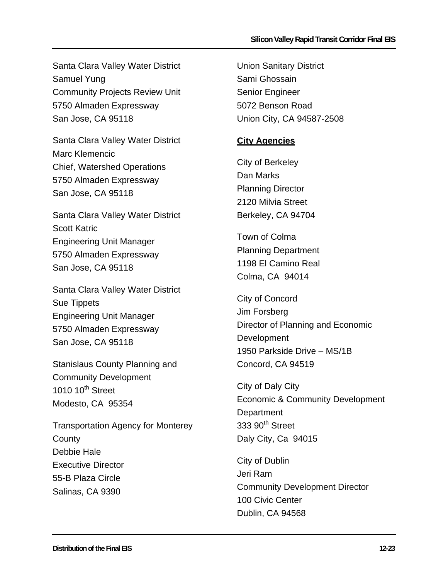Santa Clara Valley Water District Samuel Yung Community Projects Review Unit 5750 Almaden Expressway San Jose, CA 95118

Santa Clara Valley Water District Marc Klemencic Chief, Watershed Operations 5750 Almaden Expressway San Jose, CA 95118

Santa Clara Valley Water District Scott Katric Engineering Unit Manager 5750 Almaden Expressway San Jose, CA 95118

Santa Clara Valley Water District Sue Tippets Engineering Unit Manager 5750 Almaden Expressway San Jose, CA 95118

Stanislaus County Planning and Community Development 1010  $10^{th}$  Street Modesto, CA 95354

Transportation Agency for Monterey **County** Debbie Hale Executive Director 55-B Plaza Circle Salinas, CA 9390

Union Sanitary District Sami Ghossain Senior Engineer 5072 Benson Road Union City, CA 94587-2508

## **City Agencies**

City of Berkeley Dan Marks Planning Director 2120 Milvia Street Berkeley, CA 94704

Town of Colma Planning Department 1198 El Camino Real Colma, CA 94014

City of Concord Jim Forsberg Director of Planning and Economic **Development** 1950 Parkside Drive – MS/1B Concord, CA 94519

City of Daly City Economic & Community Development **Department**  $333.90<sup>th</sup>$  Street Daly City, Ca 94015

City of Dublin Jeri Ram Community Development Director 100 Civic Center Dublin, CA 94568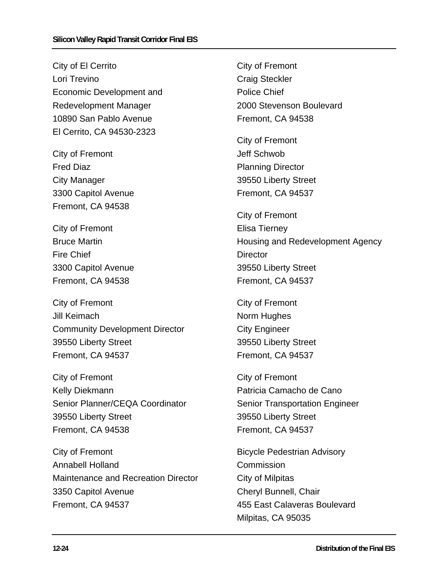City of El Cerrito Lori Trevino Economic Development and Redevelopment Manager 10890 San Pablo Avenue El Cerrito, CA 94530-2323

City of Fremont Fred Diaz City Manager 3300 Capitol Avenue Fremont, CA 94538

City of Fremont Bruce Martin Fire Chief 3300 Capitol Avenue Fremont, CA 94538

City of Fremont Jill Keimach Community Development Director 39550 Liberty Street Fremont, CA 94537

City of Fremont Kelly Diekmann Senior Planner/CEQA Coordinator 39550 Liberty Street Fremont, CA 94538

City of Fremont Annabell Holland Maintenance and Recreation Director 3350 Capitol Avenue Fremont, CA 94537

City of Fremont Craig Steckler Police Chief 2000 Stevenson Boulevard Fremont, CA 94538

City of Fremont Jeff Schwob Planning Director 39550 Liberty Street Fremont, CA 94537

City of Fremont Elisa Tierney Housing and Redevelopment Agency **Director** 39550 Liberty Street Fremont, CA 94537

City of Fremont Norm Hughes City Engineer 39550 Liberty Street Fremont, CA 94537

City of Fremont Patricia Camacho de Cano Senior Transportation Engineer 39550 Liberty Street Fremont, CA 94537

Bicycle Pedestrian Advisory Commission City of Milpitas Cheryl Bunnell, Chair 455 East Calaveras Boulevard Milpitas, CA 95035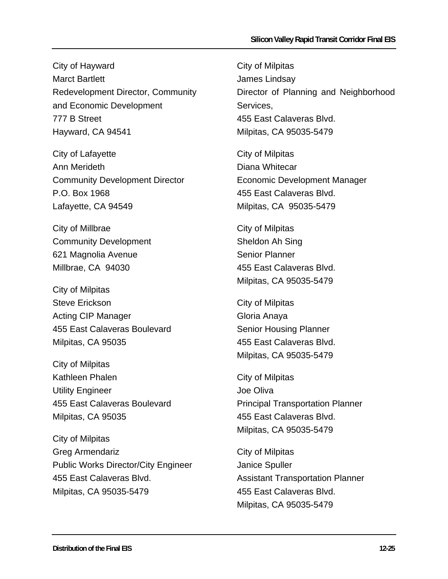City of Hayward Marct Bartlett Redevelopment Director, Community and Economic Development 777 B Street Hayward, CA 94541

City of Lafayette Ann Merideth Community Development Director P.O. Box 1968 Lafayette, CA 94549

City of Millbrae Community Development 621 Magnolia Avenue Millbrae, CA 94030

City of Milpitas Steve Erickson Acting CIP Manager 455 East Calaveras Boulevard Milpitas, CA 95035

City of Milpitas Kathleen Phalen Utility Engineer 455 East Calaveras Boulevard Milpitas, CA 95035

City of Milpitas Greg Armendariz Public Works Director/City Engineer 455 East Calaveras Blvd. Milpitas, CA 95035-5479

City of Milpitas James Lindsay Director of Planning and Neighborhood Services, 455 East Calaveras Blvd. Milpitas, CA 95035-5479

City of Milpitas Diana Whitecar Economic Development Manager 455 East Calaveras Blvd. Milpitas, CA 95035-5479

City of Milpitas Sheldon Ah Sing Senior Planner 455 East Calaveras Blvd. Milpitas, CA 95035-5479

City of Milpitas Gloria Anaya Senior Housing Planner 455 East Calaveras Blvd. Milpitas, CA 95035-5479

City of Milpitas Joe Oliva Principal Transportation Planner 455 East Calaveras Blvd. Milpitas, CA 95035-5479

City of Milpitas Janice Spuller Assistant Transportation Planner 455 East Calaveras Blvd. Milpitas, CA 95035-5479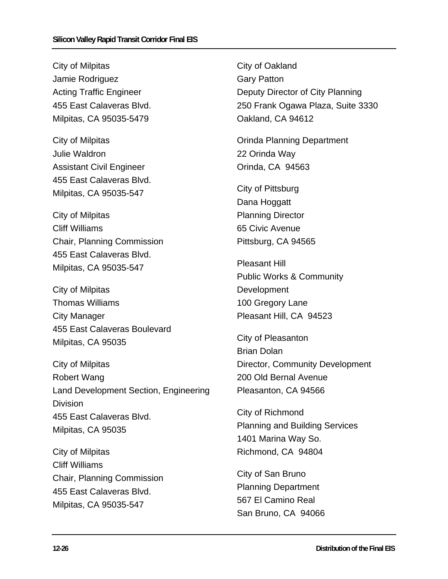City of Milpitas Jamie Rodriguez Acting Traffic Engineer 455 East Calaveras Blvd. Milpitas, CA 95035-5479

City of Milpitas Julie Waldron Assistant Civil Engineer 455 East Calaveras Blvd. Milpitas, CA 95035-547

City of Milpitas Cliff Williams Chair, Planning Commission 455 East Calaveras Blvd. Milpitas, CA 95035-547

City of Milpitas Thomas Williams City Manager 455 East Calaveras Boulevard Milpitas, CA 95035

City of Milpitas Robert Wang Land Development Section, Engineering **Division** 455 East Calaveras Blvd. Milpitas, CA 95035

City of Milpitas Cliff Williams Chair, Planning Commission 455 East Calaveras Blvd. Milpitas, CA 95035-547

City of Oakland Gary Patton Deputy Director of City Planning 250 Frank Ogawa Plaza, Suite 3330 Oakland, CA 94612

Orinda Planning Department 22 Orinda Way Orinda, CA 94563

City of Pittsburg Dana Hoggatt Planning Director 65 Civic Avenue Pittsburg, CA 94565

Pleasant Hill Public Works & Community **Development** 100 Gregory Lane Pleasant Hill, CA 94523

City of Pleasanton Brian Dolan Director, Community Development 200 Old Bernal Avenue Pleasanton, CA 94566

City of Richmond Planning and Building Services 1401 Marina Way So. Richmond, CA 94804

City of San Bruno Planning Department 567 El Camino Real San Bruno, CA 94066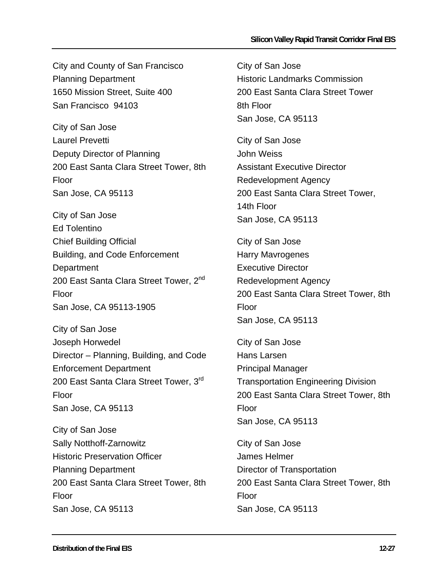City and County of San Francisco Planning Department 1650 Mission Street, Suite 400 San Francisco 94103

City of San Jose Laurel Prevetti Deputy Director of Planning 200 East Santa Clara Street Tower, 8th Floor San Jose, CA 95113

City of San Jose Ed Tolentino Chief Building Official Building, and Code Enforcement **Department** 200 East Santa Clara Street Tower, 2<sup>nd</sup> Floor San Jose, CA 95113-1905

City of San Jose Joseph Horwedel Director – Planning, Building, and Code Enforcement Department 200 East Santa Clara Street Tower, 3rd Floor San Jose, CA 95113

City of San Jose Sally Notthoff-Zarnowitz Historic Preservation Officer Planning Department 200 East Santa Clara Street Tower, 8th Floor San Jose, CA 95113

City of San Jose Historic Landmarks Commission 200 East Santa Clara Street Tower 8th Floor San Jose, CA 95113

City of San Jose John Weiss Assistant Executive Director Redevelopment Agency 200 East Santa Clara Street Tower, 14th Floor San Jose, CA 95113

City of San Jose Harry Mavrogenes Executive Director Redevelopment Agency 200 East Santa Clara Street Tower, 8th Floor San Jose, CA 95113

City of San Jose Hans Larsen Principal Manager Transportation Engineering Division 200 East Santa Clara Street Tower, 8th Floor San Jose, CA 95113

City of San Jose James Helmer Director of Transportation 200 East Santa Clara Street Tower, 8th Floor San Jose, CA 95113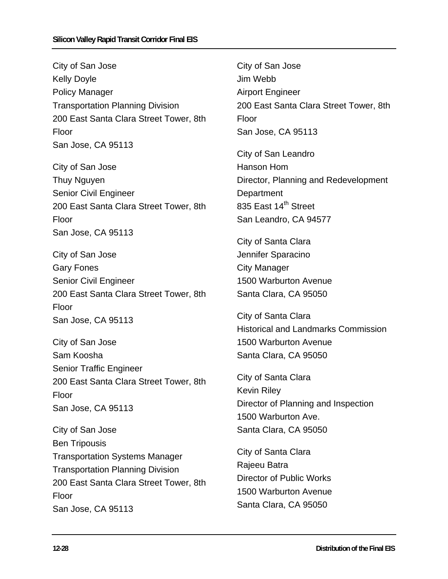City of San Jose Kelly Doyle Policy Manager Transportation Planning Division 200 East Santa Clara Street Tower, 8th Floor San Jose, CA 95113

City of San Jose Thuy Nguyen Senior Civil Engineer 200 East Santa Clara Street Tower, 8th Floor San Jose, CA 95113

City of San Jose Gary Fones Senior Civil Engineer 200 East Santa Clara Street Tower, 8th Floor San Jose, CA 95113

City of San Jose Sam Koosha Senior Traffic Engineer 200 East Santa Clara Street Tower, 8th Floor San Jose, CA 95113

City of San Jose Ben Tripousis Transportation Systems Manager Transportation Planning Division 200 East Santa Clara Street Tower, 8th Floor San Jose, CA 95113

City of San Jose Jim Webb Airport Engineer 200 East Santa Clara Street Tower, 8th Floor San Jose, CA 95113

City of San Leandro Hanson Hom Director, Planning and Redevelopment **Department** 835 East 14<sup>th</sup> Street San Leandro, CA 94577

City of Santa Clara Jennifer Sparacino City Manager 1500 Warburton Avenue Santa Clara, CA 95050

City of Santa Clara Historical and Landmarks Commission 1500 Warburton Avenue Santa Clara, CA 95050

City of Santa Clara Kevin Riley Director of Planning and Inspection 1500 Warburton Ave. Santa Clara, CA 95050

City of Santa Clara Rajeeu Batra Director of Public Works 1500 Warburton Avenue Santa Clara, CA 95050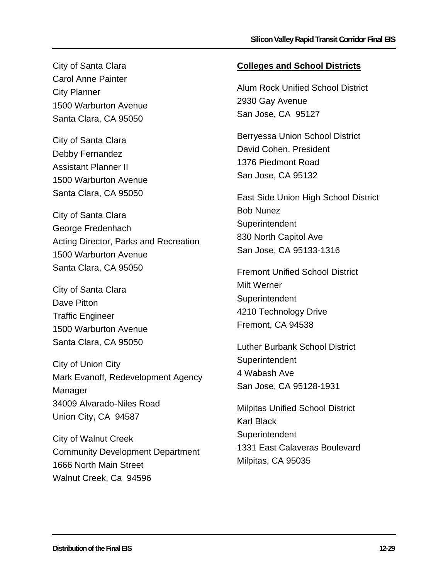City of Santa Clara Carol Anne Painter City Planner 1500 Warburton Avenue Santa Clara, CA 95050

City of Santa Clara Debby Fernandez Assistant Planner II 1500 Warburton Avenue Santa Clara, CA 95050

City of Santa Clara George Fredenhach Acting Director, Parks and Recreation 1500 Warburton Avenue Santa Clara, CA 95050

City of Santa Clara Dave Pitton Traffic Engineer 1500 Warburton Avenue Santa Clara, CA 95050

City of Union City Mark Evanoff, Redevelopment Agency **Manager** 34009 Alvarado-Niles Road Union City, CA 94587

City of Walnut Creek Community Development Department 1666 North Main Street Walnut Creek, Ca 94596

## **Colleges and School Districts**

Alum Rock Unified School District 2930 Gay Avenue San Jose, CA 95127

Berryessa Union School District David Cohen, President 1376 Piedmont Road San Jose, CA 95132

East Side Union High School District Bob Nunez **Superintendent** 830 North Capitol Ave San Jose, CA 95133-1316

Fremont Unified School District Milt Werner **Superintendent** 4210 Technology Drive Fremont, CA 94538

Luther Burbank School District **Superintendent** 4 Wabash Ave San Jose, CA 95128-1931

Milpitas Unified School District Karl Black **Superintendent** 1331 East Calaveras Boulevard Milpitas, CA 95035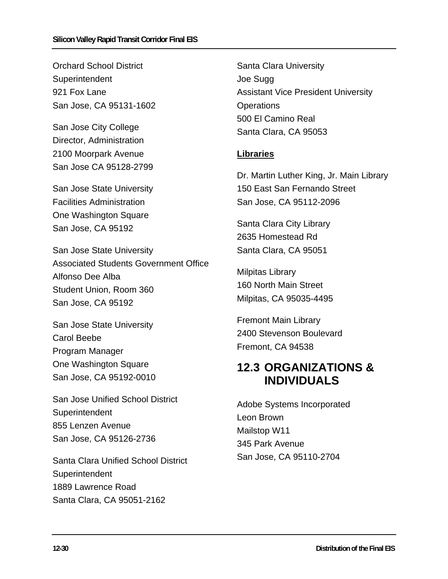Orchard School District **Superintendent** 921 Fox Lane San Jose, CA 95131-1602

San Jose City College Director, Administration 2100 Moorpark Avenue San Jose CA 95128-2799

San Jose State University Facilities Administration One Washington Square San Jose, CA 95192

San Jose State University Associated Students Government Office Alfonso Dee Alba Student Union, Room 360 San Jose, CA 95192

San Jose State University Carol Beebe Program Manager One Washington Square San Jose, CA 95192-0010

San Jose Unified School District **Superintendent** 855 Lenzen Avenue San Jose, CA 95126-2736

Santa Clara Unified School District **Superintendent** 1889 Lawrence Road Santa Clara, CA 95051-2162

Santa Clara University Joe Sugg Assistant Vice President University **Operations** 500 El Camino Real Santa Clara, CA 95053

### **Libraries**

Dr. Martin Luther King, Jr. Main Library 150 East San Fernando Street San Jose, CA 95112-2096

Santa Clara City Library 2635 Homestead Rd Santa Clara, CA 95051

Milpitas Library 160 North Main Street Milpitas, CA 95035-4495

Fremont Main Library 2400 Stevenson Boulevard Fremont, CA 94538

## **12.3 ORGANIZATIONS & INDIVIDUALS**

Adobe Systems Incorporated Leon Brown Mailstop W11 345 Park Avenue San Jose, CA 95110-2704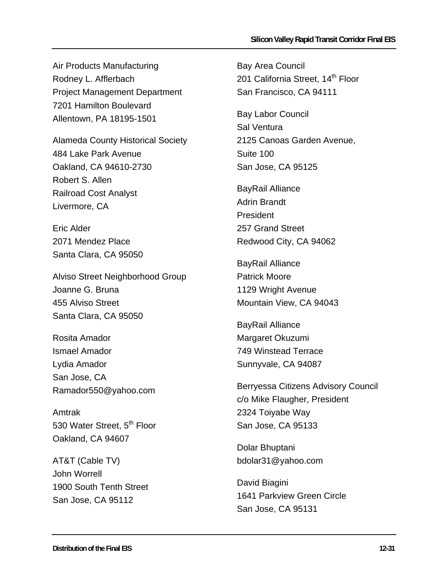Air Products Manufacturing Rodney L. Afflerbach Project Management Department 7201 Hamilton Boulevard Allentown, PA 18195-1501

Alameda County Historical Society 484 Lake Park Avenue Oakland, CA 94610-2730 Robert S. Allen Railroad Cost Analyst Livermore, CA

Eric Alder 2071 Mendez Place Santa Clara, CA 95050

Alviso Street Neighborhood Group Joanne G. Bruna 455 Alviso Street Santa Clara, CA 95050

Rosita Amador Ismael Amador Lydia Amador San Jose, CA Ramador550@yahoo.com

Amtrak 530 Water Street, 5<sup>th</sup> Floor Oakland, CA 94607

AT&T (Cable TV) John Worrell 1900 South Tenth Street San Jose, CA 95112

Bay Area Council 201 California Street, 14<sup>th</sup> Floor San Francisco, CA 94111

Bay Labor Council Sal Ventura 2125 Canoas Garden Avenue, Suite 100 San Jose, CA 95125

BayRail Alliance Adrin Brandt President 257 Grand Street Redwood City, CA 94062

BayRail Alliance Patrick Moore 1129 Wright Avenue Mountain View, CA 94043

BayRail Alliance Margaret Okuzumi 749 Winstead Terrace Sunnyvale, CA 94087

Berryessa Citizens Advisory Council c/o Mike Flaugher, President 2324 Toiyabe Way San Jose, CA 95133

Dolar Bhuptani bdolar31@yahoo.com

David Biagini 1641 Parkview Green Circle San Jose, CA 95131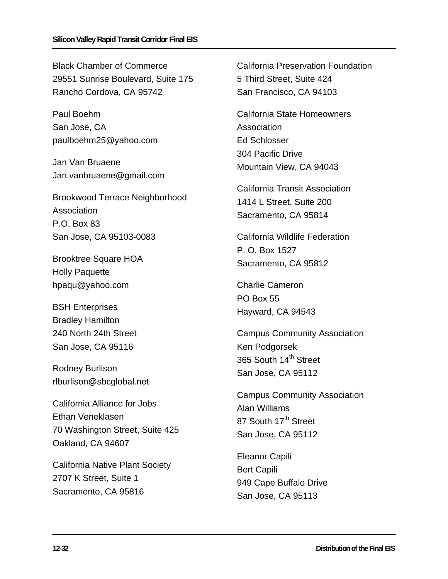Black Chamber of Commerce 29551 Sunrise Boulevard, Suite 175 Rancho Cordova, CA 95742

Paul Boehm San Jose, CA paulboehm25@yahoo.com

Jan Van Bruaene Jan.vanbruaene@gmail.com

Brookwood Terrace Neighborhood Association P.O. Box 83 San Jose, CA 95103-0083

Brooktree Square HOA Holly Paquette hpaqu@yahoo.com

BSH Enterprises Bradley Hamilton 240 North 24th Street San Jose, CA 95116

Rodney Burlison rlburlison@sbcglobal.net

California Alliance for Jobs Ethan Veneklasen 70 Washington Street, Suite 425 Oakland, CA 94607

California Native Plant Society 2707 K Street, Suite 1 Sacramento, CA 95816

California Preservation Foundation 5 Third Street, Suite 424 San Francisco, CA 94103

California State Homeowners Association Ed Schlosser 304 Pacific Drive Mountain View, CA 94043

California Transit Association 1414 L Street, Suite 200 Sacramento, CA 95814

California Wildlife Federation P. O. Box 1527 Sacramento, CA 95812

Charlie Cameron PO Box 55 Hayward, CA 94543

Campus Community Association Ken Podgorsek 365 South 14<sup>th</sup> Street San Jose, CA 95112

Campus Community Association Alan Williams 87 South 17<sup>th</sup> Street San Jose, CA 95112

Eleanor Capili Bert Capili 949 Cape Buffalo Drive San Jose, CA 95113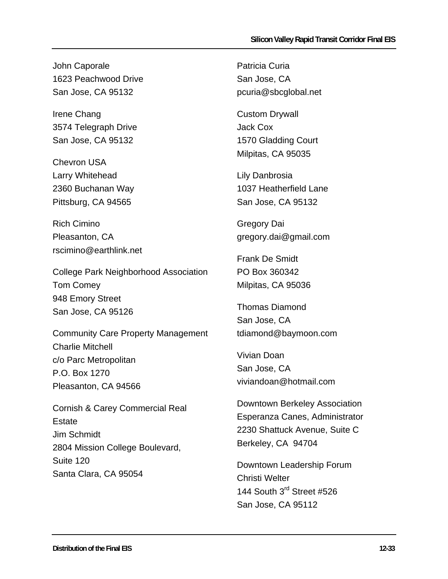John Caporale 1623 Peachwood Drive San Jose, CA 95132

Irene Chang 3574 Telegraph Drive San Jose, CA 95132

Chevron USA Larry Whitehead 2360 Buchanan Way Pittsburg, CA 94565

Rich Cimino Pleasanton, CA rscimino@earthlink.net

College Park Neighborhood Association Tom Comey 948 Emory Street San Jose, CA 95126

Community Care Property Management Charlie Mitchell c/o Parc Metropolitan P.O. Box 1270 Pleasanton, CA 94566

Cornish & Carey Commercial Real **Estate** Jim Schmidt 2804 Mission College Boulevard, Suite 120 Santa Clara, CA 95054

Patricia Curia San Jose, CA pcuria@sbcglobal.net

Custom Drywall Jack Cox 1570 Gladding Court Milpitas, CA 95035

Lily Danbrosia 1037 Heatherfield Lane San Jose, CA 95132

Gregory Dai gregory.dai@gmail.com

Frank De Smidt PO Box 360342 Milpitas, CA 95036

Thomas Diamond San Jose, CA tdiamond@baymoon.com

Vivian Doan San Jose, CA viviandoan@hotmail.com

Downtown Berkeley Association Esperanza Canes, Administrator 2230 Shattuck Avenue, Suite C Berkeley, CA 94704

Downtown Leadership Forum Christi Welter 144 South 3<sup>rd</sup> Street #526 San Jose, CA 95112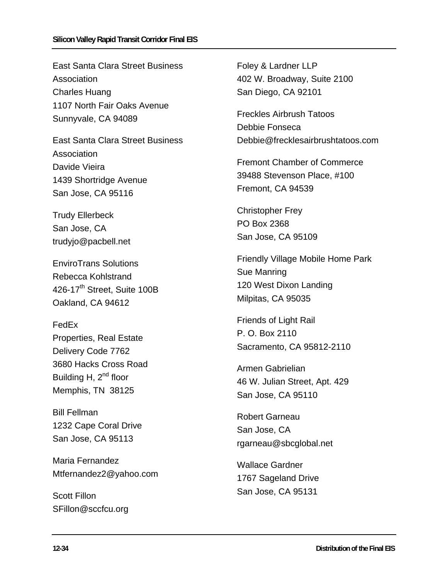East Santa Clara Street Business Association Charles Huang 1107 North Fair Oaks Avenue Sunnyvale, CA 94089

East Santa Clara Street Business Association Davide Vieira 1439 Shortridge Avenue San Jose, CA 95116

Trudy Ellerbeck San Jose, CA trudyjo@pacbell.net

EnviroTrans Solutions Rebecca Kohlstrand 426-17<sup>th</sup> Street, Suite 100B Oakland, CA 94612

FedEx Properties, Real Estate Delivery Code 7762 3680 Hacks Cross Road Building H, 2<sup>nd</sup> floor Memphis, TN 38125

Bill Fellman 1232 Cape Coral Drive San Jose, CA 95113

Maria Fernandez Mtfernandez2@yahoo.com

Scott Fillon SFillon@sccfcu.org Foley & Lardner LLP 402 W. Broadway, Suite 2100 San Diego, CA 92101

Freckles Airbrush Tatoos Debbie Fonseca Debbie@frecklesairbrushtatoos.com

Fremont Chamber of Commerce 39488 Stevenson Place, #100 Fremont, CA 94539

Christopher Frey PO Box 2368 San Jose, CA 95109

Friendly Village Mobile Home Park Sue Manring 120 West Dixon Landing Milpitas, CA 95035

Friends of Light Rail P. O. Box 2110 Sacramento, CA 95812-2110

Armen Gabrielian 46 W. Julian Street, Apt. 429 San Jose, CA 95110

Robert Garneau San Jose, CA rgarneau@sbcglobal.net

Wallace Gardner 1767 Sageland Drive San Jose, CA 95131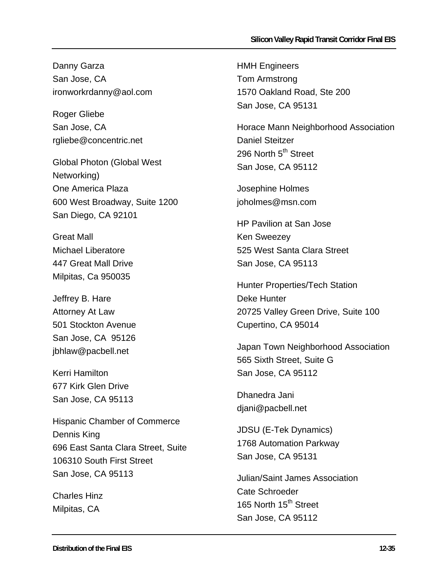Danny Garza San Jose, CA ironworkrdanny@aol.com

Roger Gliebe San Jose, CA rgliebe@concentric.net

Global Photon (Global West Networking) One America Plaza 600 West Broadway, Suite 1200 San Diego, CA 92101

Great Mall Michael Liberatore 447 Great Mall Drive Milpitas, Ca 950035

Jeffrey B. Hare Attorney At Law 501 Stockton Avenue San Jose, CA 95126 jbhlaw@pacbell.net

Kerri Hamilton 677 Kirk Glen Drive San Jose, CA 95113

Hispanic Chamber of Commerce Dennis King 696 East Santa Clara Street, Suite 106310 South First Street San Jose, CA 95113

Charles Hinz Milpitas, CA

HMH Engineers Tom Armstrong 1570 Oakland Road, Ste 200 San Jose, CA 95131

Horace Mann Neighborhood Association Daniel Steitzer 296 North 5<sup>th</sup> Street San Jose, CA 95112

Josephine Holmes joholmes@msn.com

HP Pavilion at San Jose Ken Sweezey 525 West Santa Clara Street San Jose, CA 95113

Hunter Properties/Tech Station Deke Hunter 20725 Valley Green Drive, Suite 100 Cupertino, CA 95014

Japan Town Neighborhood Association 565 Sixth Street, Suite G San Jose, CA 95112

Dhanedra Jani djani@pacbell.net

JDSU (E-Tek Dynamics) 1768 Automation Parkway San Jose, CA 95131

Julian/Saint James Association Cate Schroeder 165 North 15<sup>th</sup> Street San Jose, CA 95112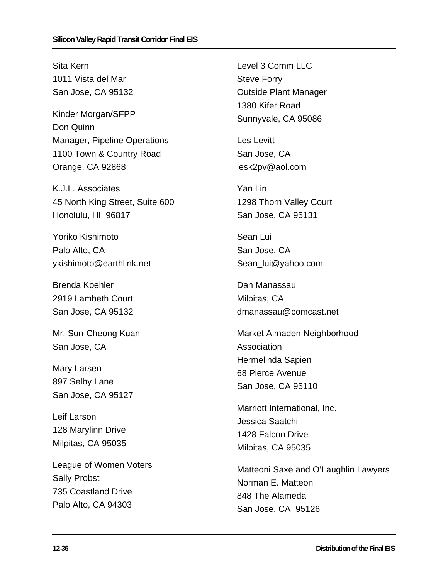Sita Kern 1011 Vista del Mar San Jose, CA 95132

Kinder Morgan/SFPP Don Quinn Manager, Pipeline Operations 1100 Town & Country Road Orange, CA 92868

K.J.L. Associates 45 North King Street, Suite 600 Honolulu, HI 96817

Yoriko Kishimoto Palo Alto, CA ykishimoto@earthlink.net

Brenda Koehler 2919 Lambeth Court San Jose, CA 95132

Mr. Son-Cheong Kuan San Jose, CA

Mary Larsen 897 Selby Lane San Jose, CA 95127

Leif Larson 128 Marylinn Drive Milpitas, CA 95035

League of Women Voters Sally Probst 735 Coastland Drive Palo Alto, CA 94303

Level 3 Comm LLC Steve Forry Outside Plant Manager 1380 Kifer Road Sunnyvale, CA 95086

Les Levitt San Jose, CA lesk2pv@aol.com

Yan Lin 1298 Thorn Valley Court San Jose, CA 95131

Sean Lui San Jose, CA Sean\_lui@yahoo.com

Dan Manassau Milpitas, CA dmanassau@comcast.net

Market Almaden Neighborhood **Association** Hermelinda Sapien 68 Pierce Avenue San Jose, CA 95110

Marriott International, Inc. Jessica Saatchi 1428 Falcon Drive Milpitas, CA 95035

Matteoni Saxe and O'Laughlin Lawyers Norman E. Matteoni 848 The Alameda San Jose, CA 95126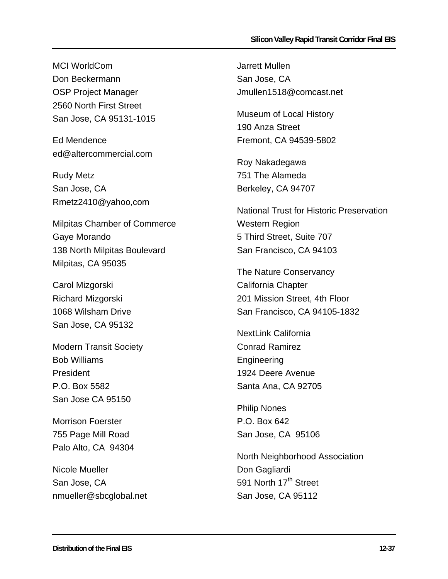MCI WorldCom Don Beckermann OSP Project Manager 2560 North First Street San Jose, CA 95131-1015

Ed Mendence ed@altercommercial.com

Rudy Metz San Jose, CA Rmetz2410@yahoo,com

Milpitas Chamber of Commerce Gaye Morando 138 North Milpitas Boulevard Milpitas, CA 95035

Carol Mizgorski Richard Mizgorski 1068 Wilsham Drive San Jose, CA 95132

Modern Transit Society Bob Williams President P.O. Box 5582 San Jose CA 95150

Morrison Foerster 755 Page Mill Road Palo Alto, CA 94304

Nicole Mueller San Jose, CA nmueller@sbcglobal.net Jarrett Mullen San Jose, CA Jmullen1518@comcast.net

Museum of Local History 190 Anza Street Fremont, CA 94539-5802

Roy Nakadegawa 751 The Alameda Berkeley, CA 94707

National Trust for Historic Preservation Western Region 5 Third Street, Suite 707 San Francisco, CA 94103

The Nature Conservancy California Chapter 201 Mission Street, 4th Floor San Francisco, CA 94105-1832

NextLink California Conrad Ramirez Engineering 1924 Deere Avenue Santa Ana, CA 92705

Philip Nones P.O. Box 642 San Jose, CA 95106

North Neighborhood Association Don Gagliardi 591 North 17<sup>th</sup> Street San Jose, CA 95112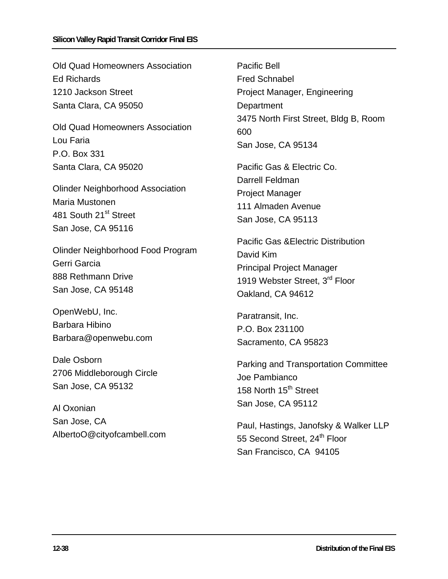Old Quad Homeowners Association Ed Richards 1210 Jackson Street Santa Clara, CA 95050

Old Quad Homeowners Association Lou Faria P.O. Box 331 Santa Clara, CA 95020

Olinder Neighborhood Association Maria Mustonen 481 South 21<sup>st</sup> Street San Jose, CA 95116

Olinder Neighborhood Food Program Gerri Garcia 888 Rethmann Drive San Jose, CA 95148

OpenWebU, Inc. Barbara Hibino Barbara@openwebu.com

Dale Osborn 2706 Middleborough Circle San Jose, CA 95132

Al Oxonian San Jose, CA AlbertoO@cityofcambell.com Pacific Bell Fred Schnabel Project Manager, Engineering **Department** 3475 North First Street, Bldg B, Room 600 San Jose, CA 95134

Pacific Gas & Electric Co. Darrell Feldman Project Manager 111 Almaden Avenue San Jose, CA 95113

Pacific Gas &Electric Distribution David Kim Principal Project Manager 1919 Webster Street, 3<sup>rd</sup> Floor Oakland, CA 94612

Paratransit, Inc. P.O. Box 231100 Sacramento, CA 95823

Parking and Transportation Committee Joe Pambianco 158 North 15<sup>th</sup> Street San Jose, CA 95112

Paul, Hastings, Janofsky & Walker LLP 55 Second Street, 24<sup>th</sup> Floor San Francisco, CA 94105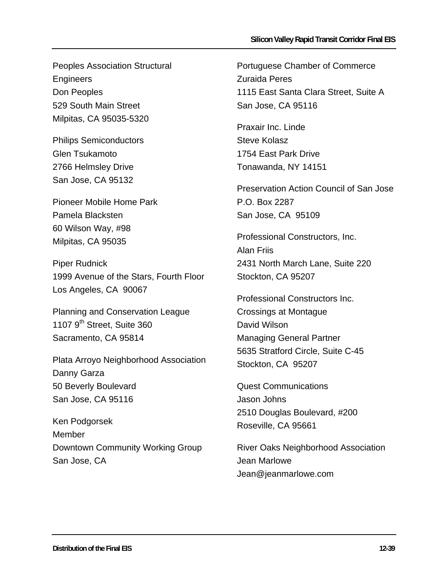Peoples Association Structural Engineers Don Peoples 529 South Main Street Milpitas, CA 95035-5320

Philips Semiconductors Glen Tsukamoto 2766 Helmsley Drive San Jose, CA 95132

Pioneer Mobile Home Park Pamela Blacksten 60 Wilson Way, #98 Milpitas, CA 95035

Piper Rudnick 1999 Avenue of the Stars, Fourth Floor Los Angeles, CA 90067

Planning and Conservation League 1107 9<sup>th</sup> Street, Suite 360 Sacramento, CA 95814

Plata Arroyo Neighborhood Association Danny Garza 50 Beverly Boulevard San Jose, CA 95116

Ken Podgorsek Member Downtown Community Working Group San Jose, CA

Portuguese Chamber of Commerce Zuraida Peres 1115 East Santa Clara Street, Suite A San Jose, CA 95116

Praxair Inc. Linde Steve Kolasz 1754 East Park Drive Tonawanda, NY 14151

Preservation Action Council of San Jose P.O. Box 2287 San Jose, CA 95109

Professional Constructors, Inc. Alan Friis 2431 North March Lane, Suite 220 Stockton, CA 95207

Professional Constructors Inc. Crossings at Montague David Wilson Managing General Partner 5635 Stratford Circle, Suite C-45 Stockton, CA 95207

Quest Communications Jason Johns 2510 Douglas Boulevard, #200 Roseville, CA 95661

River Oaks Neighborhood Association Jean Marlowe Jean@jeanmarlowe.com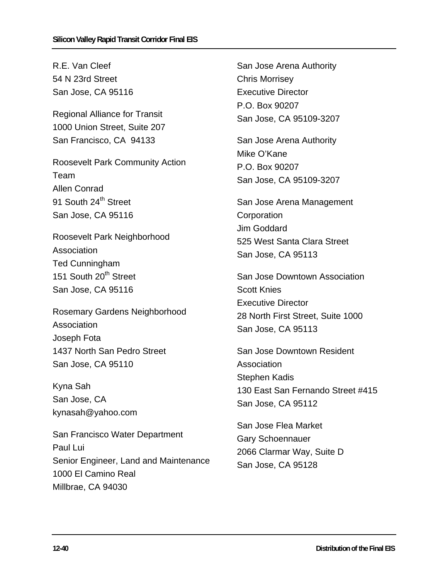R.E. Van Cleef 54 N 23rd Street San Jose, CA 95116

Regional Alliance for Transit 1000 Union Street, Suite 207 San Francisco, CA 94133

Roosevelt Park Community Action Team Allen Conrad 91 South 24<sup>th</sup> Street San Jose, CA 95116

Roosevelt Park Neighborhood Association Ted Cunningham 151 South 20<sup>th</sup> Street San Jose, CA 95116

Rosemary Gardens Neighborhood Association Joseph Fota 1437 North San Pedro Street San Jose, CA 95110

Kyna Sah San Jose, CA kynasah@yahoo.com

San Francisco Water Department Paul Lui Senior Engineer, Land and Maintenance 1000 El Camino Real Millbrae, CA 94030

San Jose Arena Authority Chris Morrisey Executive Director P.O. Box 90207 San Jose, CA 95109-3207

San Jose Arena Authority Mike O'Kane P.O. Box 90207 San Jose, CA 95109-3207

San Jose Arena Management **Corporation** Jim Goddard 525 West Santa Clara Street San Jose, CA 95113

San Jose Downtown Association Scott Knies Executive Director 28 North First Street, Suite 1000 San Jose, CA 95113

San Jose Downtown Resident **Association** Stephen Kadis 130 East San Fernando Street #415 San Jose, CA 95112

San Jose Flea Market Gary Schoennauer 2066 Clarmar Way, Suite D San Jose, CA 95128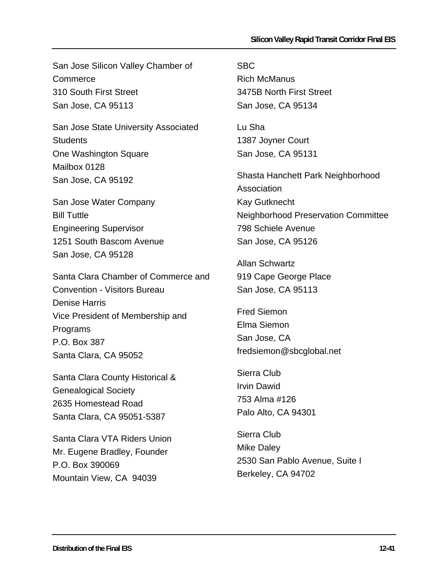San Jose Silicon Valley Chamber of **Commerce** 310 South First Street San Jose, CA 95113

San Jose State University Associated **Students** One Washington Square Mailbox 0128 San Jose, CA 95192

San Jose Water Company Bill Tuttle Engineering Supervisor 1251 South Bascom Avenue San Jose, CA 95128

Santa Clara Chamber of Commerce and Convention - Visitors Bureau Denise Harris Vice President of Membership and Programs P.O. Box 387 Santa Clara, CA 95052

Santa Clara County Historical & Genealogical Society 2635 Homestead Road Santa Clara, CA 95051-5387

Santa Clara VTA Riders Union Mr. Eugene Bradley, Founder P.O. Box 390069 Mountain View, CA 94039

SBC Rich McManus 3475B North First Street San Jose, CA 95134

Lu Sha 1387 Joyner Court San Jose, CA 95131

Shasta Hanchett Park Neighborhood Association Kay Gutknecht Neighborhood Preservation Committee 798 Schiele Avenue San Jose, CA 95126

Allan Schwartz 919 Cape George Place San Jose, CA 95113

Fred Siemon Elma Siemon San Jose, CA fredsiemon@sbcglobal.net

Sierra Club Irvin Dawid 753 Alma #126 Palo Alto, CA 94301

Sierra Club Mike Daley 2530 San Pablo Avenue, Suite I Berkeley, CA 94702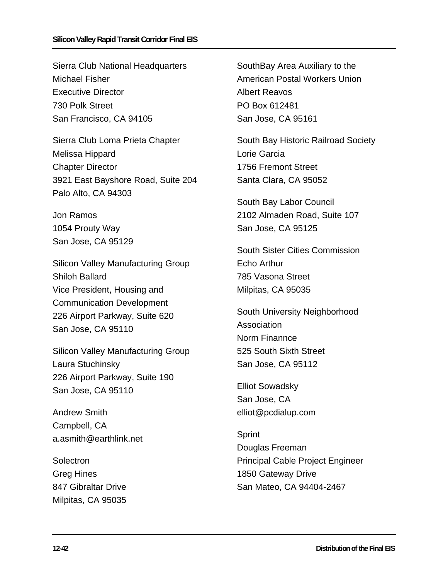Sierra Club National Headquarters Michael Fisher Executive Director 730 Polk Street San Francisco, CA 94105

Sierra Club Loma Prieta Chapter Melissa Hippard Chapter Director 3921 East Bayshore Road, Suite 204 Palo Alto, CA 94303

Jon Ramos 1054 Prouty Way San Jose, CA 95129

Silicon Valley Manufacturing Group Shiloh Ballard Vice President, Housing and Communication Development 226 Airport Parkway, Suite 620 San Jose, CA 95110

Silicon Valley Manufacturing Group Laura Stuchinsky 226 Airport Parkway, Suite 190 San Jose, CA 95110

Andrew Smith Campbell, CA a.asmith@earthlink.net

Solectron Greg Hines 847 Gibraltar Drive Milpitas, CA 95035 SouthBay Area Auxiliary to the American Postal Workers Union Albert Reavos PO Box 612481 San Jose, CA 95161

South Bay Historic Railroad Society Lorie Garcia 1756 Fremont Street Santa Clara, CA 95052

South Bay Labor Council 2102 Almaden Road, Suite 107 San Jose, CA 95125

South Sister Cities Commission Echo Arthur 785 Vasona Street Milpitas, CA 95035

South University Neighborhood Association Norm Finannce 525 South Sixth Street San Jose, CA 95112

Elliot Sowadsky San Jose, CA elliot@pcdialup.com

Sprint Douglas Freeman Principal Cable Project Engineer 1850 Gateway Drive San Mateo, CA 94404-2467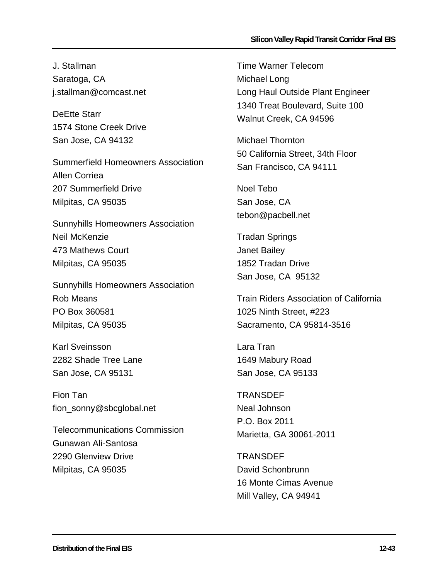J. Stallman Saratoga, CA j.stallman@comcast.net

DeEtte Starr 1574 Stone Creek Drive San Jose, CA 94132

Summerfield Homeowners Association Allen Corriea 207 Summerfield Drive Milpitas, CA 95035

Sunnyhills Homeowners Association Neil McKenzie 473 Mathews Court Milpitas, CA 95035

Sunnyhills Homeowners Association Rob Means PO Box 360581 Milpitas, CA 95035

Karl Sveinsson 2282 Shade Tree Lane San Jose, CA 95131

Fion Tan fion\_sonny@sbcglobal.net

Telecommunications Commission Gunawan Ali-Santosa 2290 Glenview Drive Milpitas, CA 95035

Time Warner Telecom Michael Long Long Haul Outside Plant Engineer 1340 Treat Boulevard, Suite 100 Walnut Creek, CA 94596

Michael Thornton 50 California Street, 34th Floor San Francisco, CA 94111

Noel Tebo San Jose, CA tebon@pacbell.net

Tradan Springs Janet Bailey 1852 Tradan Drive San Jose, CA 95132

Train Riders Association of California 1025 Ninth Street, #223 Sacramento, CA 95814-3516

Lara Tran 1649 Mabury Road San Jose, CA 95133

**TRANSDEF** Neal Johnson P.O. Box 2011 Marietta, GA 30061-2011

**TRANSDEF** David Schonbrunn 16 Monte Cimas Avenue Mill Valley, CA 94941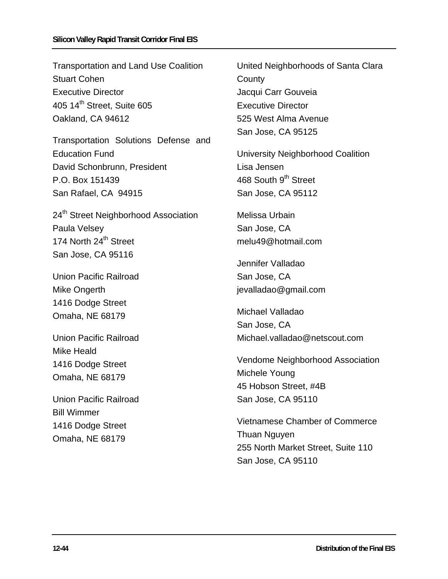Transportation and Land Use Coalition Stuart Cohen Executive Director 405 14<sup>th</sup> Street, Suite 605 Oakland, CA 94612

Transportation Solutions Defense and Education Fund David Schonbrunn, President P.O. Box 151439 San Rafael, CA 94915

24<sup>th</sup> Street Neighborhood Association Paula Velsey 174 North 24<sup>th</sup> Street San Jose, CA 95116

Union Pacific Railroad Mike Ongerth 1416 Dodge Street Omaha, NE 68179

Union Pacific Railroad Mike Heald 1416 Dodge Street Omaha, NE 68179

Union Pacific Railroad Bill Wimmer 1416 Dodge Street Omaha, NE 68179

United Neighborhoods of Santa Clara **County** Jacqui Carr Gouveia Executive Director 525 West Alma Avenue San Jose, CA 95125

University Neighborhood Coalition Lisa Jensen 468 South 9<sup>th</sup> Street San Jose, CA 95112

Melissa Urbain San Jose, CA melu49@hotmail.com

Jennifer Valladao San Jose, CA jevalladao@gmail.com

Michael Valladao San Jose, CA Michael.valladao@netscout.com

Vendome Neighborhood Association Michele Young 45 Hobson Street, #4B San Jose, CA 95110

Vietnamese Chamber of Commerce Thuan Nguyen 255 North Market Street, Suite 110 San Jose, CA 95110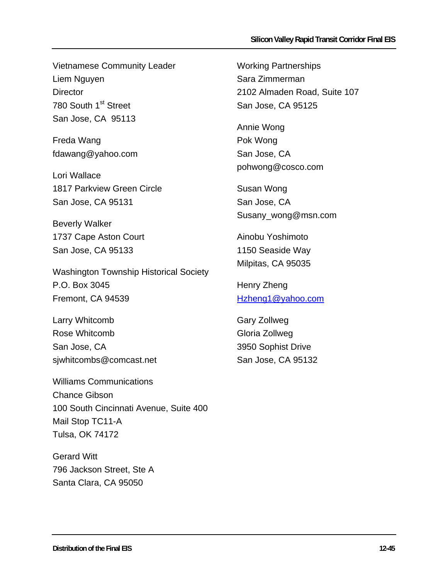Vietnamese Community Leader Liem Nguyen **Director** 780 South 1<sup>st</sup> Street San Jose, CA 95113

Freda Wang fdawang@yahoo.com

Lori Wallace 1817 Parkview Green Circle San Jose, CA 95131

Beverly Walker 1737 Cape Aston Court San Jose, CA 95133

Washington Township Historical Society P.O. Box 3045 Fremont, CA 94539

Larry Whitcomb Rose Whitcomb San Jose, CA sjwhitcombs@comcast.net

Williams Communications Chance Gibson 100 South Cincinnati Avenue, Suite 400 Mail Stop TC11-A Tulsa, OK 74172

Gerard Witt 796 Jackson Street, Ste A Santa Clara, CA 95050

Working Partnerships Sara Zimmerman 2102 Almaden Road, Suite 107 San Jose, CA 95125

Annie Wong Pok Wong San Jose, CA pohwong@cosco.com

Susan Wong San Jose, CA Susany\_wong@msn.com

Ainobu Yoshimoto 1150 Seaside Way Milpitas, CA 95035

Henry Zheng [Hzheng1@yahoo.com](mailto:Hzheng1@yahoo.com)

Gary Zollweg Gloria Zollweg 3950 Sophist Drive San Jose, CA 95132